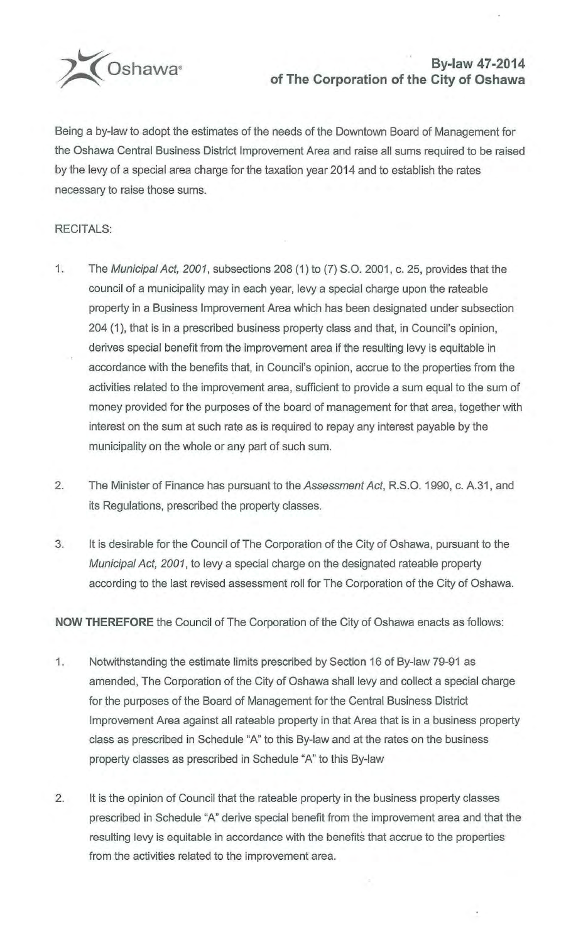

## **2014**<br>**By-law 47-2014**<br>**of The Corporation of the City of Oshawa**

Being a by-law to adopt the estimates of the needs of the Downtown Board of Management for the Oshawa Central Business District Improvement Area and raise all sums required to be raised by the levy of a special area charge for the taxation year 2014 and to establish the rates necessary to raise those sums.

## RECITALS:

- 1. The Municipal Act, 2001, subsections 208 (1) to (7) S.O. 2001, c. 25, provides that the council of a municipality may in each year, levy a special charge upon the rateable property in a Business Improvement Area which has been designated under subsection 204 (1 ), that is in a prescribed business property class and that, in Council's opinion, derives special benefit from the improvement area if the resulting levy is equitable in accordance with the benefits that, in Council's opinion, accrue to the properties from the activities related to the improvement area, sufficient to provide a sum equal to the sum of money provided for the purposes of the board of management for that area, together with interest on the sum at such rate as is required to repay any interest payable by the municipality on the whole or any part of such sum.
- 2. The Minister of Finance has pursuant to the Assessment Act, R.S.O. 1990, c. A.31, and its Regulations, prescribed the property classes.
- 3. It is desirable for the Council of The Corporation of the City of Oshawa, pursuant to the Municipal Act, 2001, to levy a special charge on the designated rateable property according to the last revised assessment roll for The Corporation of the City of Oshawa.

**NOW THEREFORE** the Council of The Corporation of the City of Oshawa enacts as follows:

- 1. Notwithstanding the estimate limits prescribed by Section 16 of By-law 79-91 as amended, The Corporation of the City of Oshawa shall levy and collect a special charge for the purposes of the Board of Management for the Central Business District Improvement Area against all rateable property in that Area that is in a business property class as prescribed in Schedule "A" to this By-law and at the rates on the business property classes as prescribed in Schedule "A" to this By-law
- 2. It is the opinion of Council that the rateable property in the business property classes prescribed in Schedule "A" derive special benefit from the improvement area and that the resulting levy is equitable in accordance with the benefits that accrue to the properties from the activities related to the improvement area.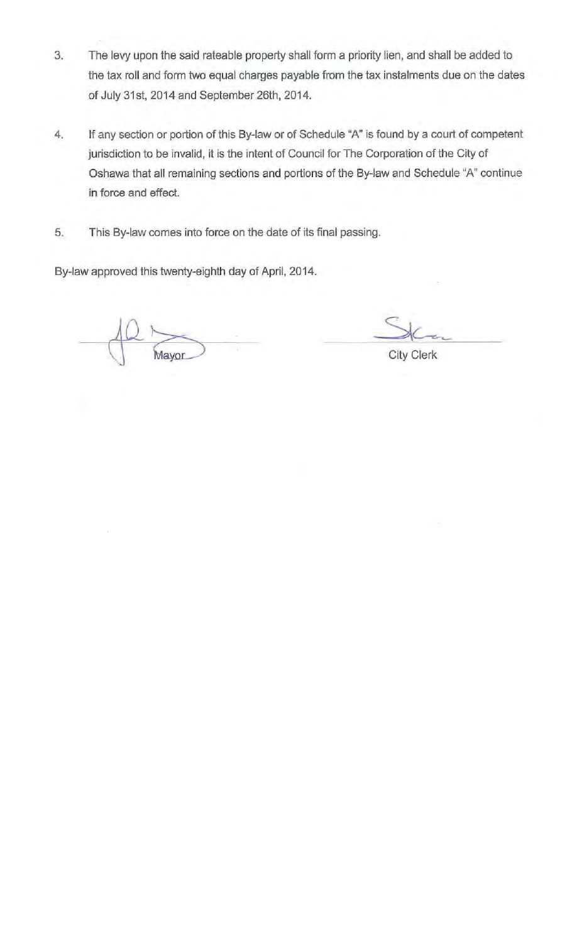- 3. The levy upon the said rateable property shall form a priority lien, and shall be added to the tax roll and form two equal charges payable from the tax instalments due on the dates of July 31st, 2014 and September 26th, 2014.
- 4. If any section or portion of this By-law or of Schedule "A" is found by a court of competent jurisdiction to be invalid, it is the intent of Council for The Corporation of the City of Oshawa that all remaining sections and portions of the By-law and Schedule "A" continue in force and effect.
- 5. This By-law comes into force on the date of its final passing.

By-law approved this twenty-eighth day of April, 2014.

Mayor

City Clerk